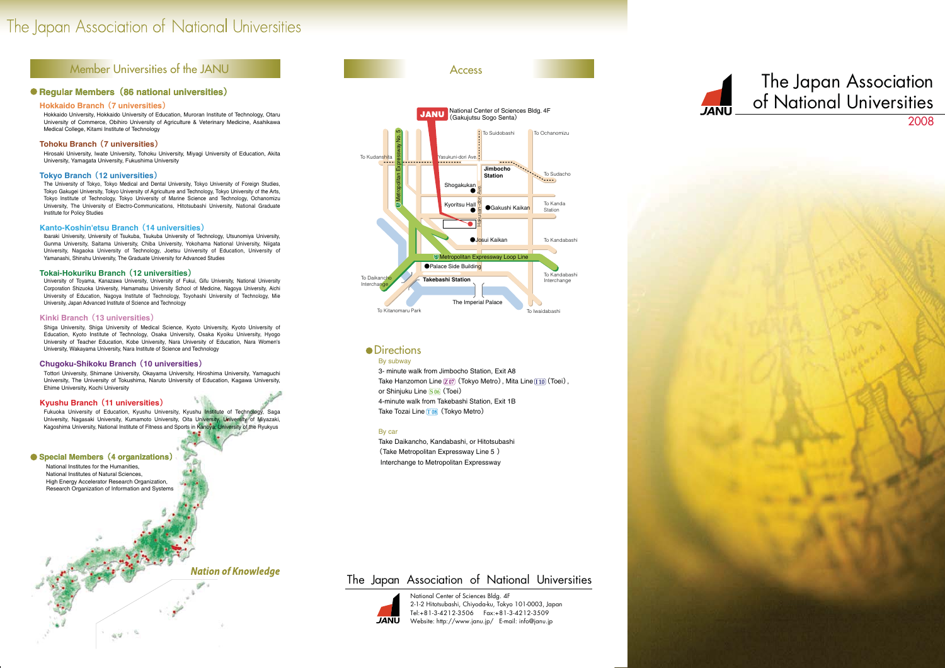3- minute walk from Jimbocho Station, Exit A8 Take Hanzomon Line  $\boxed{207}$  (Tokyo Metro), Mita Line  $\boxed{110}$  (Toei), or Shinjuku Line  $\boxed{S\,06}$  (Toei) 4-minute walk from Takebashi Station, Exit 1B Take Tozai Line T08 (Tokyo Metro)



### By subway

#### By car

Take Daikancho, Kandabashi, or Hitotsubashi (Take Metropolitan Expressway Line 5 ) Interchange to Metropolitan Expressway



National Center of Sciences Bldg. 4F 2-1-2 Hitotsubashi, Chiyoda-ku, Tokyo 101-0003, Japan Tel:+81-3-4212-3506 Fax:+81-3-4212-3509 Website: http://www.janu.jp/ E-mail: info@janu.jp

# The Japan Association of National Universities



# The Japan Association of National Universities

# Member Universities of the JANU

Access

## **•** Directions

### **Regular Members**(**86 national universities**)

National Institutes for the Humanities, National Institutes of Natural Sciences, High Energy Accelerator Research Organization, Research Organization of Information and Systems

 $44.4$ 

**Nation of Knowledge** 

#### **Hokkaido Branch** (**7 universities**)

Hokkaido University, Hokkaido University of Education, Muroran Institute of Technology, Otaru University of Commerce, Obihiro University of Agriculture & Veterinary Medicine, Asahikawa Medical College, Kitami Institute of Technology

#### **Tohoku Branch** (**7 universities**)

Hirosaki University, Iwate University, Tohoku University, Miyagi University of Education, Akita University, Yamagata University, Fukushima University

#### **Tokyo Branch** (**12 universities**)

Fukuoka University of Education, Kyushu University, Kyushu Institute of Technology, Saga University, Nagasaki University, Kumamoto University, Oita University, University of Miyazaki, Kagoshima University, National Institute of Fitness and Sports in Kanoya, University of the Ryukyus

The University of Tokyo, Tokyo Medical and Dental University, Tokyo University of Foreign Studies, Tokyo Gakugei University, Tokyo University of Agriculture and Technology, Tokyo University of the Arts, Tokyo Institute of Technology, Tokyo University of Marine Science and Technology, Ochanomizu University, The University of Electro-Communications, Hitotsubashi University, National Graduate Institute for Policy Studies

#### **Kanto-Koshin'etsu Branch** (**14 universities**)

 Ibaraki University, University of Tsukuba, Tsukuba University of Technology, Utsunomiya University, Gunma University, Saitama University, Chiba University, Yokohama National University, Niigata University, Nagaoka University of Technology, Joetsu University of Education, University of Yamanashi, Shinshu University, The Graduate University for Advanced Studies

#### **Tokai-Hokuriku Branch** (**12 universities**)

 University of Toyama, Kanazawa University, University of Fukui, Gifu University, National University Corporation Shizuoka University, Hamamatsu University School of Medicine, Nagoya University, Aichi University of Education, Nagoya Institute of Technology, Toyohashi University of Technology, Mie University, Japan Advanced Institute of Science and Technology

#### **Kinki Branch** (**13 universities**)

Shiga University, Shiga University of Medical Science, Kyoto University, Kyoto University of Education, Kyoto Institute of Technology, Osaka University, Osaka Kyoiku University, Hyogo University of Teacher Education, Kobe University, Nara University of Education, Nara Women's University, Wakayama University, Nara Institute of Science and Technology

#### **Chugoku-Shikoku Branch** (**10 universities**)

Tottori University, Shimane University, Okayama University, Hiroshima University, Yamaguchi University, The University of Tokushima, Naruto University of Education, Kagawa University, Ehime University, Kochi University

#### **Kyushu Branch**(**11 universities**)

#### **Special Members**(**4 organizations**)

# The Japan Association of National Universities 2008